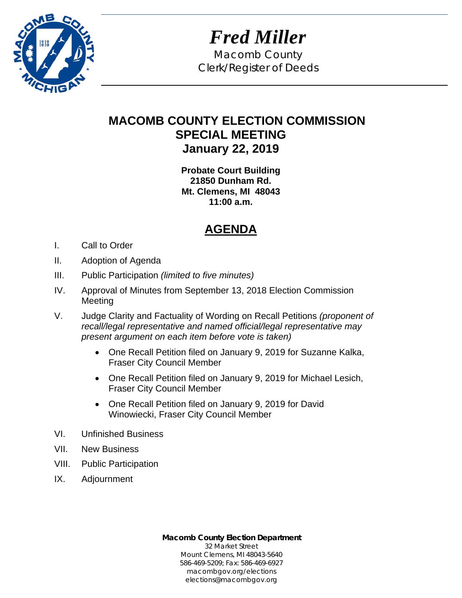

*Fred Miller*  Macomb County Clerk/Register of Deeds

# **MACOMB COUNTY ELECTION COMMISSION SPECIAL MEETING January 22, 2019**

**Probate Court Building 21850 Dunham Rd. Mt. Clemens, MI 48043 11:00 a.m.** 

# **AGENDA**

- I. Call to Order
- II. Adoption of Agenda
- III. Public Participation *(limited to five minutes)*
- IV. Approval of Minutes from September 13, 2018 Election Commission Meeting
- V. Judge Clarity and Factuality of Wording on Recall Petitions *(proponent of recall/legal representative and named official/legal representative may present argument on each item before vote is taken)*
	- One Recall Petition filed on January 9, 2019 for Suzanne Kalka, Fraser City Council Member
	- One Recall Petition filed on January 9, 2019 for Michael Lesich, Fraser City Council Member
	- One Recall Petition filed on January 9, 2019 for David Winowiecki, Fraser City Council Member
- VI. Unfinished Business
- VII. New Business
- VIII. Public Participation
- IX. Adjournment

**Macomb County Election Department**  32 Market Street Mount Clemens, MI 48043-5640 586-469-5209; Fax: 586-469-6927 macombgov.org/elections elections@macombgov.org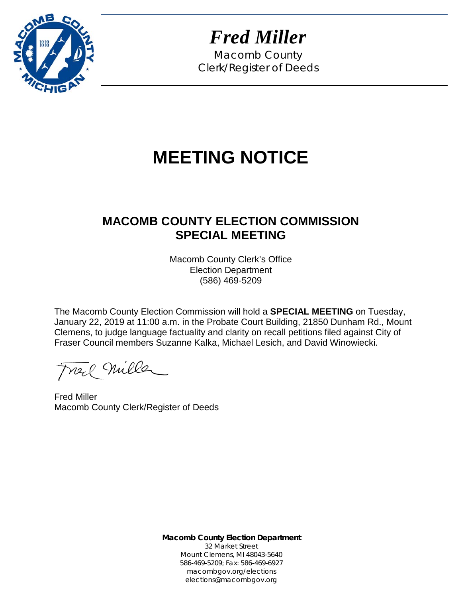

*Fred Miller*

Macomb County Clerk/Register of Deeds

# **MEETING NOTICE**

# **MACOMB COUNTY ELECTION COMMISSION SPECIAL MEETING**

Macomb County Clerk's Office Election Department (586) 469-5209

The Macomb County Election Commission will hold a **SPECIAL MEETING** on Tuesday, January 22, 2019 at 11:00 a.m. in the Probate Court Building, 21850 Dunham Rd., Mount Clemens, to judge language factuality and clarity on recall petitions filed against City of Fraser Council members Suzanne Kalka, Michael Lesich, and David Winowiecki.

Freel Miller

Fred Miller Macomb County Clerk/Register of Deeds

**Macomb County Election Department** 32 Market Street Mount Clemens, MI 48043-5640 586-469-5209; Fax: 586-469-6927 macombgov.org/elections elections@macombgov.org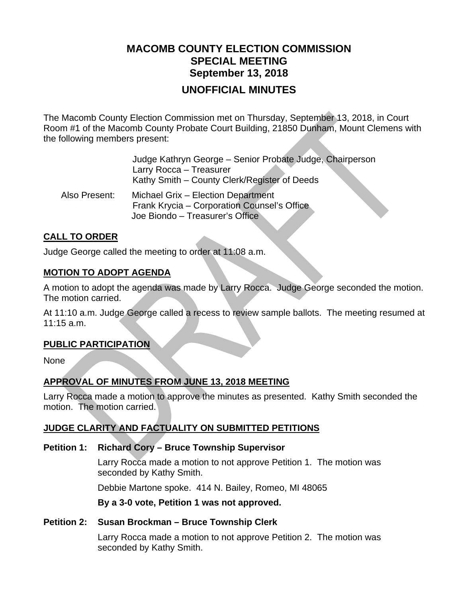## **MACOMB COUNTY ELECTION COMMISSION SPECIAL MEETING September 13, 2018 UNOFFICIAL MINUTES**

The Macomb County Election Commission met on Thursday, September 13, 2018, in Court Room #1 of the Macomb County Probate Court Building, 21850 Dunham, Mount Clemens with the following members present:

|               | Judge Kathryn George - Senior Probate Judge, Chairperson<br>Larry Rocca - Treasurer<br>Kathy Smith – County Clerk/Register of Deeds |
|---------------|-------------------------------------------------------------------------------------------------------------------------------------|
| Also Present: | Michael Grix - Election Department<br>Frank Krycia - Corporation Counsel's Office<br>Joe Biondo - Treasurer's Office                |

#### **CALL TO ORDER**

Judge George called the meeting to order at 11:08 a.m.

#### **MOTION TO ADOPT AGENDA**

A motion to adopt the agenda was made by Larry Rocca. Judge George seconded the motion. The motion carried.

At 11:10 a.m. Judge George called a recess to review sample ballots. The meeting resumed at 11:15 a.m.

#### **PUBLIC PARTICIPATION**

None

#### **APPROVAL OF MINUTES FROM JUNE 13, 2018 MEETING**

Larry Rocca made a motion to approve the minutes as presented. Kathy Smith seconded the motion. The motion carried.

## **JUDGE CLARITY AND FACTUALITY ON SUBMITTED PETITIONS**

#### **Petition 1: Richard Cory – Bruce Township Supervisor**

Larry Rocca made a motion to not approve Petition 1. The motion was seconded by Kathy Smith.

Debbie Martone spoke. 414 N. Bailey, Romeo, MI 48065

**By a 3-0 vote, Petition 1 was not approved.** 

#### **Petition 2: Susan Brockman – Bruce Township Clerk**

Larry Rocca made a motion to not approve Petition 2. The motion was seconded by Kathy Smith.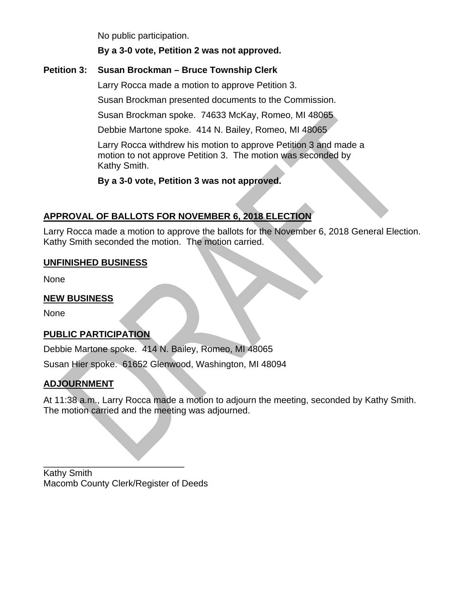No public participation.

#### **By a 3-0 vote, Petition 2 was not approved.**

#### **Petition 3: Susan Brockman – Bruce Township Clerk**

Larry Rocca made a motion to approve Petition 3.

Susan Brockman presented documents to the Commission.

Susan Brockman spoke. 74633 McKay, Romeo, MI 48065

Debbie Martone spoke. 414 N. Bailey, Romeo, MI 48065

Larry Rocca withdrew his motion to approve Petition 3 and made a motion to not approve Petition 3. The motion was seconded by Kathy Smith.

**By a 3-0 vote, Petition 3 was not approved.** 

## **APPROVAL OF BALLOTS FOR NOVEMBER 6, 2018 ELECTION**

Larry Rocca made a motion to approve the ballots for the November 6, 2018 General Election. Kathy Smith seconded the motion. The motion carried.

#### **UNFINISHED BUSINESS**

None

#### **NEW BUSINESS**

None

#### **PUBLIC PARTICIPATION**

Debbie Martone spoke. 414 N. Bailey, Romeo, MI 48065

Susan Hier spoke. 61652 Glenwood, Washington, MI 48094

## **ADJOURNMENT**

At 11:38 a.m., Larry Rocca made a motion to adjourn the meeting, seconded by Kathy Smith. The motion carried and the meeting was adjourned.

Kathy Smith Macomb County Clerk/Register of Deeds

\_\_\_\_\_\_\_\_\_\_\_\_\_\_\_\_\_\_\_\_\_\_\_\_\_\_\_\_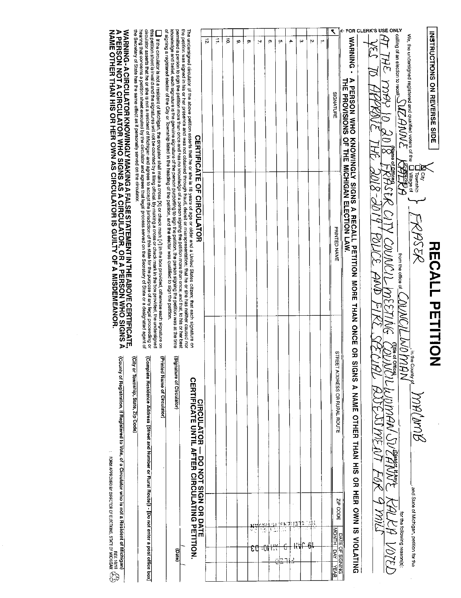|                                                                                                                                                                                                                                                                                                                                                                                                         |                                                                                                                                                                                                                                                                                                                                                                                                                                                                                |                                                                                                                                                                                                                                                                                                                  |                                 |   |           |   |         |                |      |               |     |    |    |   |                                                                       | FOR                                                                                                           | LERK'S USE ONLY |                                                                                |                                                                                                                                                                                        |                                                               |                                     |
|---------------------------------------------------------------------------------------------------------------------------------------------------------------------------------------------------------------------------------------------------------------------------------------------------------------------------------------------------------------------------------------------------------|--------------------------------------------------------------------------------------------------------------------------------------------------------------------------------------------------------------------------------------------------------------------------------------------------------------------------------------------------------------------------------------------------------------------------------------------------------------------------------|------------------------------------------------------------------------------------------------------------------------------------------------------------------------------------------------------------------------------------------------------------------------------------------------------------------|---------------------------------|---|-----------|---|---------|----------------|------|---------------|-----|----|----|---|-----------------------------------------------------------------------|---------------------------------------------------------------------------------------------------------------|-----------------|--------------------------------------------------------------------------------|----------------------------------------------------------------------------------------------------------------------------------------------------------------------------------------|---------------------------------------------------------------|-------------------------------------|
|                                                                                                                                                                                                                                                                                                                                                                                                         |                                                                                                                                                                                                                                                                                                                                                                                                                                                                                |                                                                                                                                                                                                                                                                                                                  | $\vec{p}$<br><b>CERTIFICATE</b> | Ţ | $\vec{P}$ | ø | œ       | 2              | ē    | ò.            | 4   | ω  | 'n | ÷ | SIGNATURE                                                             | WARNING -                                                                                                     |                 | <b>CRQV</b><br>$\frac{1}{2}$ $\frac{8}{2}$ $0$ $\chi$                          | We, the undersigned registered and qualified voters of the $\frac{1}{k}$ $\frac{1}{k}$ calling of an election to recall $\frac{1}{\sqrt{2}}$ $\frac{1}{\sqrt{2}}$ $\frac{1}{\sqrt{2}}$ |                                                               | <b>INSTRUCTIONS ON REVERSE SIDE</b> |
| circulator asserts that he or she is not a resident of Michigan and agrees to accept the jurisdiction of this state for the purpose of any legal proceeding or<br>$\blacksquare$ If the circulator is not a resident of Michigan, the circulator shall make a cross [X] or check mark [V] in the box provided, otherwise each signature on the position shall are considered in the box provided, the u | of signing a registered elector of the City or Township isted in the heading of the petition, and the elector was qualified to sign the petition.<br>knowledge and belief, each signature is the genuine signature of the person purporting to sign the petition, the person signing the petition was at the time<br>permitted a person to sign the petition more than once and has no knowledge of a person signing the petition more than once; and that, to his or her best | the petition was signed in his or her presence and was not obtained through fraud, deceit or misrepresentation; that he or she has neither caused nor<br>The undersigned circulator of the above petition asserts that he or she is 18 years of age or older and a United States citizen; that each signature on | OF CIRCULATOR                   |   |           |   |         |                |      |               |     |    |    |   | PRINTED NAME                                                          | A PERSON WHO KNOWINGLY SIGNS A RECALL PETITION MORE THAN ONCE<br>THE PROVISIONS OF THE MICHIGAN ELECTION LAW. |                 | FRASER CITY COUNCLL MEET                                                       | $\frac{1}{2}$<br>_ from the office of $\underline{\mathfrak{g}}$<br><b>DNAC</b>                                                                                                        | <b>T</b><br>Trownship<br>Trownship<br>Tillage of<br>FRASER    | <b>RECALL PETITION</b>              |
| ior in an in the<br>(Complete Residence Address [Street and Number or Rural Route]) - [Do not enter a post office box]                                                                                                                                                                                                                                                                                  | (Signature of Circulator)<br>(Printed Name of Circulator)<br>(Date)                                                                                                                                                                                                                                                                                                                                                                                                            | <b>STRIP DATE DATE DRIVER OR OR ORDERISTION</b><br>CERTIFULATIL DRIVIAL DRIVING PETTE OF REPORTED OF STRIP OF THE ORDERISTION                                                                                                                                                                                    |                                 |   |           |   | 4<br>εt | $\frac{10}{2}$ | र्गी | $\rightarrow$ | רני | Ĵ, |    |   | STREET ADDRESS OR RURAL ROUTE<br>ZIP CODE<br>MONTH DAY<br><b>YEAR</b> | 요<br>ਸ਼<br><b>SIGNS</b><br>A NAME OTHER THAN HIS OR HER OWN IS VIOLATING<br><b>DATE OF SIGNING</b>            |                 | gue a comment DUS Anglish DE RALER POTED<br>COUNCIL WOMAN SULPANTE RALER VOTED | for the following reason(s).                                                                                                                                                           | ELUO MAN MACAME<br>_, and State of Michigan, petition for the |                                     |

 $\hat{\boldsymbol{\gamma}}$ 

WARNING-A CIRCULATOR KNOWINGLY MAKING A FALSE STATEMENT IN THE ABOVE CERTIFICATE,<br>A PERSON NOT A CIRCULATOR WHO SIGNS AS A CIRCULATOR, OR A PERSON WHO SIGNS A<br>NAME OTHER THAN HIS OR HER OWN AS CIRCULATOR IS GUILTY OF A MIS circulator assets that he or she is not a resident of Michigan and agrees to accept the jurisdiction of this state for the purpose of any legal proceeding or<br>hearing that concerns a petition sheet executed by the circulato

 $\widetilde{G}_{\widetilde{\mathcal{A}}}^{\mathcal{A}}$  registration, if Registered to Vote, of a Circuiator who is not a Resident of Michigan)  $\widetilde{G}_{\widetilde{\mathcal{A}}}$ 

(City or Township, State, Zip Code)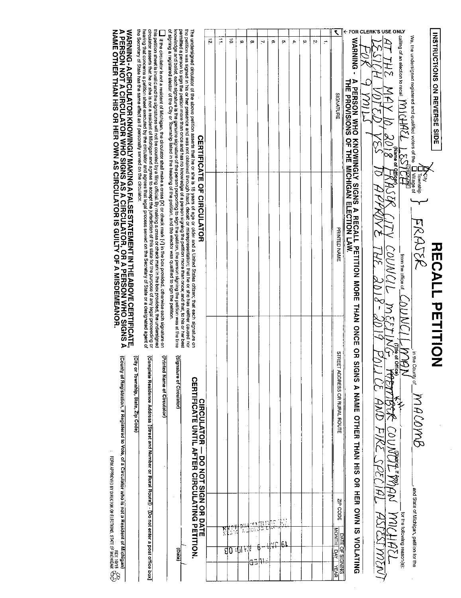| INSTRICTONS ON REVERSE SIDE                                                                                                                                                                                                                                                                                                                                                                               | <b>RUNLL AUTITION</b>                                                                                                                                                                                                                                                                                                                                                                       |                                                                                                |                                                         |
|-----------------------------------------------------------------------------------------------------------------------------------------------------------------------------------------------------------------------------------------------------------------------------------------------------------------------------------------------------------------------------------------------------------|---------------------------------------------------------------------------------------------------------------------------------------------------------------------------------------------------------------------------------------------------------------------------------------------------------------------------------------------------------------------------------------------|------------------------------------------------------------------------------------------------|---------------------------------------------------------|
| We, the undersigned registered and qualified voters of the $\overline{\Box}$ Village of $\overline{\Box}$                                                                                                                                                                                                                                                                                                 | ठ<br>ङ<br><b>FRAJSR</b>                                                                                                                                                                                                                                                                                                                                                                     | ゴキロロ<br>p Auno<br>MACOMB                                                                       | , and State of Michigan, petition for the               |
|                                                                                                                                                                                                                                                                                                                                                                                                           | from the office of<br><b>JANN</b>                                                                                                                                                                                                                                                                                                                                                           | 方<br><br>Z                                                                                     | for the following reason(s):                            |
| $\frac{2}{8}$ caling of an election to recall $\frac{ O_1 Q_1Q_2 }{\frac{1}{2}}$<br>$\frac{1}{2}$ $\frac{1}{2}$ $\frac{1}{2}$ $\frac{1}{2}$ $\frac{1}{2}$ $\frac{1}{2}$ $\frac{1}{2}$ $\frac{1}{2}$ $\frac{1}{2}$ $\frac{1}{2}$ $\frac{1}{2}$ $\frac{1}{2}$ $\frac{1}{2}$ $\frac{1}{2}$ $\frac{1}{2}$ $\frac$<br>$\bigvee_{\text{supp} \text{ to } \text{empty}} \overline{\mathcal{G} \mid \mathcal{O}}$ | えどみ<br>ASK LITY COUNCIL MEET                                                                                                                                                                                                                                                                                                                                                                | the of Offic<br>全<br>おれ COUNPIL PAA MICHAZL                                                    |                                                         |
|                                                                                                                                                                                                                                                                                                                                                                                                           |                                                                                                                                                                                                                                                                                                                                                                                             | <u>AND FIKE SPECIAL ASTESTMENT</u>                                                             |                                                         |
|                                                                                                                                                                                                                                                                                                                                                                                                           |                                                                                                                                                                                                                                                                                                                                                                                             |                                                                                                |                                                         |
|                                                                                                                                                                                                                                                                                                                                                                                                           | A PERSON WHO KNOWINGLY SIGNS A RECALL PETITION MORE THAN ONCE OR SIC<br>THE PROVISIONS OF THE MICHIGAN ELECTION LAW.                                                                                                                                                                                                                                                                        | GNS A NAME OTHER THAN HIS OR HER OWN IS VIOLATING                                              |                                                         |
| ۲<br><b>SIGNATURE</b>                                                                                                                                                                                                                                                                                                                                                                                     | PRINTED NAME                                                                                                                                                                                                                                                                                                                                                                                | <b>STREET</b><br><b>ADDRESS OR RUPAL ROUTE</b>                                                 | ZIP CODE<br><b>MONTH DAY</b><br>DATE OF SIGNING<br>∕∉АR |
| ÷                                                                                                                                                                                                                                                                                                                                                                                                         |                                                                                                                                                                                                                                                                                                                                                                                             |                                                                                                |                                                         |
| Ņ                                                                                                                                                                                                                                                                                                                                                                                                         |                                                                                                                                                                                                                                                                                                                                                                                             |                                                                                                |                                                         |
| ω                                                                                                                                                                                                                                                                                                                                                                                                         |                                                                                                                                                                                                                                                                                                                                                                                             |                                                                                                |                                                         |
| 4.                                                                                                                                                                                                                                                                                                                                                                                                        |                                                                                                                                                                                                                                                                                                                                                                                             |                                                                                                |                                                         |
| O,                                                                                                                                                                                                                                                                                                                                                                                                        |                                                                                                                                                                                                                                                                                                                                                                                             |                                                                                                | त्र                                                     |
| ç,                                                                                                                                                                                                                                                                                                                                                                                                        |                                                                                                                                                                                                                                                                                                                                                                                             |                                                                                                | Ю                                                       |
| N                                                                                                                                                                                                                                                                                                                                                                                                         |                                                                                                                                                                                                                                                                                                                                                                                             |                                                                                                | 빈의<br>J                                                 |
| ço                                                                                                                                                                                                                                                                                                                                                                                                        |                                                                                                                                                                                                                                                                                                                                                                                             |                                                                                                | ΥR<br>Œ                                                 |
| ω                                                                                                                                                                                                                                                                                                                                                                                                         |                                                                                                                                                                                                                                                                                                                                                                                             |                                                                                                | نڊ<br>بر<br>-ता                                         |
| ਡ                                                                                                                                                                                                                                                                                                                                                                                                         |                                                                                                                                                                                                                                                                                                                                                                                             |                                                                                                | gO                                                      |
| Ë,                                                                                                                                                                                                                                                                                                                                                                                                        |                                                                                                                                                                                                                                                                                                                                                                                             |                                                                                                | प्राप्                                                  |
| ,                                                                                                                                                                                                                                                                                                                                                                                                         |                                                                                                                                                                                                                                                                                                                                                                                             |                                                                                                |                                                         |
|                                                                                                                                                                                                                                                                                                                                                                                                           | the petition was signed in his or her presence and was not obtained through fraud, decelt or misrepresentation; that he or she has neither caused not<br>The undersigned circulator of the above petition asserts that he or she is 19 years of age or older and a United States citizen; that eech signature on<br><b>CERTIFICATE OF CIRCULATOR</b>                                        | <b>CERTIFICATE UNTIL AFTER CIRCULATING PETITION</b><br><b>CIRCITATOR - DO XOT SIGN OR DATE</b> |                                                         |
|                                                                                                                                                                                                                                                                                                                                                                                                           | criter and bettilen and heliging the person signifies of the person purportions of the operation of the person signifies was at the person signing the person signing the person signing the person signing the person signing<br>permitted a person to sign the petition more than once and has no knowledge of a person signing the petition more than once; and that, to his or her best | (Signature of Circulator)                                                                      | (eac)                                                   |

knowledge and belief, each signature is the genuine stgnature of the person purporting to sign the person is medical settion with the peritority of the perform with the person sign the perform of the state of the City of T

 $\Box$  If the driculator is not a resident of Michigan, the dirculator shall make a cross [X] or check mark [Y] in the box provided, otherwise each signature on this perlition sheeft is invalid and the signatures will not b

WARNING-A CIRCULATOR KNOWINGLY MAKING A FALSE STATEMENT IN THE ABOVE CERTIFICATE,<br>A PERSON NOT A CIRCULATOR WHO SIGNS AS A CIRCULATOR, OR A PERSON WHO SIGNS A<br>NAME OTHER THAN HIS OR HER OWN AS CIRCULATOR IS GUILTY OF A MIS

-d

(Printed Name of Circulator)

(Complete Residence Address [Street and Number or Rural Route]) - [Do not enter a post office box]

(City or Township, State, Zip Code)

(County of Registration, if Registered to Vote, of a Circulator who is not a Resident of Michigan)

 $\ddot{\phantom{0}}$ 

TORIA APPROVED BY DIRECTOR OF ELECTIONS, STATE OF MICHIGAN  $\widetilde{G}_{\rm Q}^2$ <br>Form approved by direction of Elections, State of Michigan  $\widetilde{G}_{\rm Q}^2$